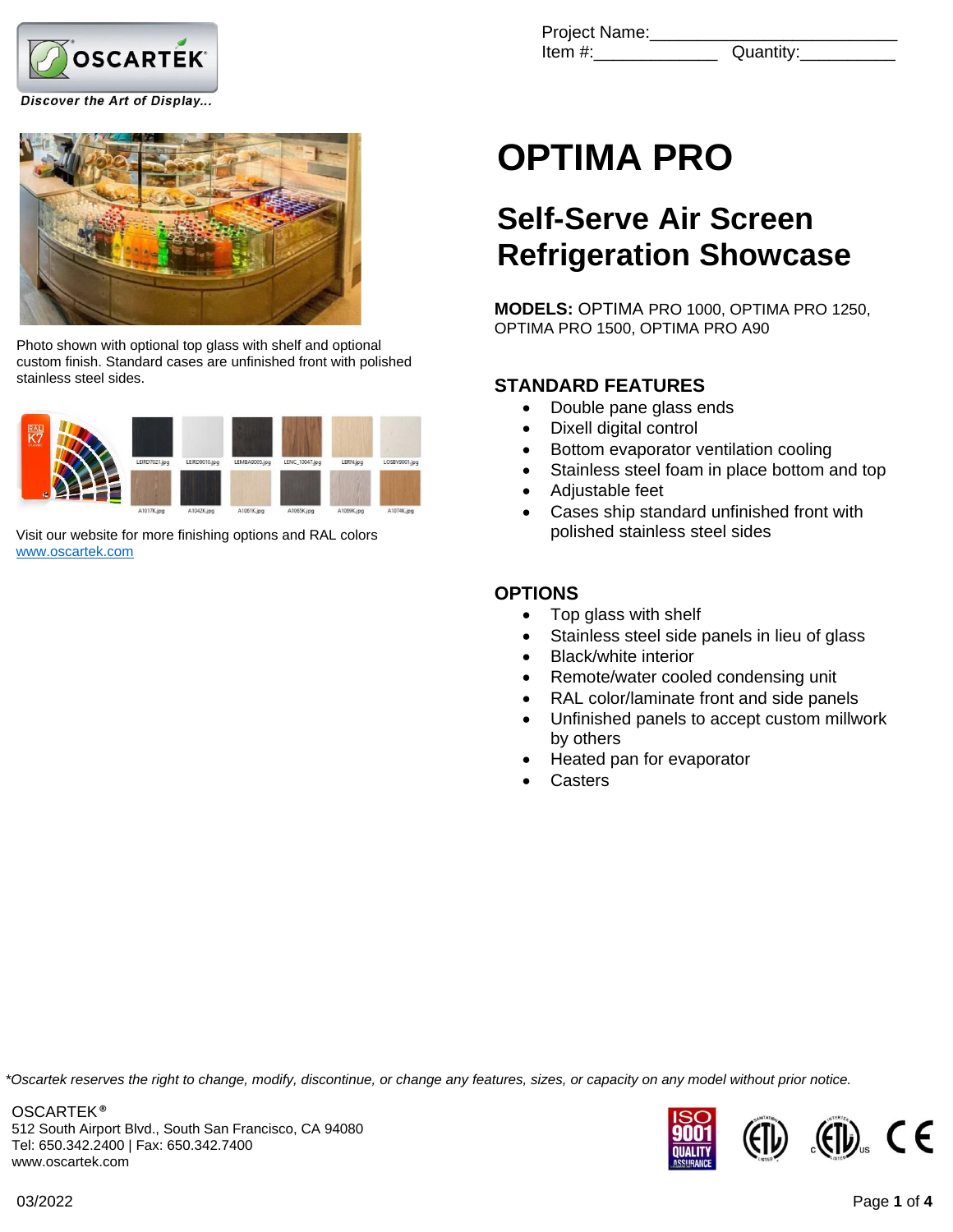

Discover the Art of Display...



Photo shown with optional top glass with shelf and optional custom finish. Standard cases are unfinished front with polished stainless steel sides.



Visit our website for more finishing options and RAL colors [www.oscartek.com](http://www.oscartek.com/)

| Project Name: |           |
|---------------|-----------|
| Item #:       | Quantity: |

# **OPTIMA PRO**

## **Self-Serve Air Screen Refrigeration Showcase**

**MODELS:** OPTIMA PRO 1000, OPTIMA PRO 1250, OPTIMA PRO 1500, OPTIMA PRO A90

### **STANDARD FEATURES**

- Double pane glass ends
- Dixell digital control
- Bottom evaporator ventilation cooling
- Stainless steel foam in place bottom and top
- Adjustable feet
- Cases ship standard unfinished front with polished stainless steel sides

#### **OPTIONS**

- Top glass with shelf
- Stainless steel side panels in lieu of glass
- Black/white interior
- Remote/water cooled condensing unit
- RAL color/laminate front and side panels
- Unfinished panels to accept custom millwork by others
- Heated pan for evaporator
- **Casters**

*\*Oscartek reserves the right to change, modify, discontinue, or change any features, sizes, or capacity on any model without prior notice.*

OSCARTEK ® 512 South Airport Blvd., South San Francisco, CA 94080 Tel: 650.342.2400 | Fax: 650.342.7400 www.oscartek.com

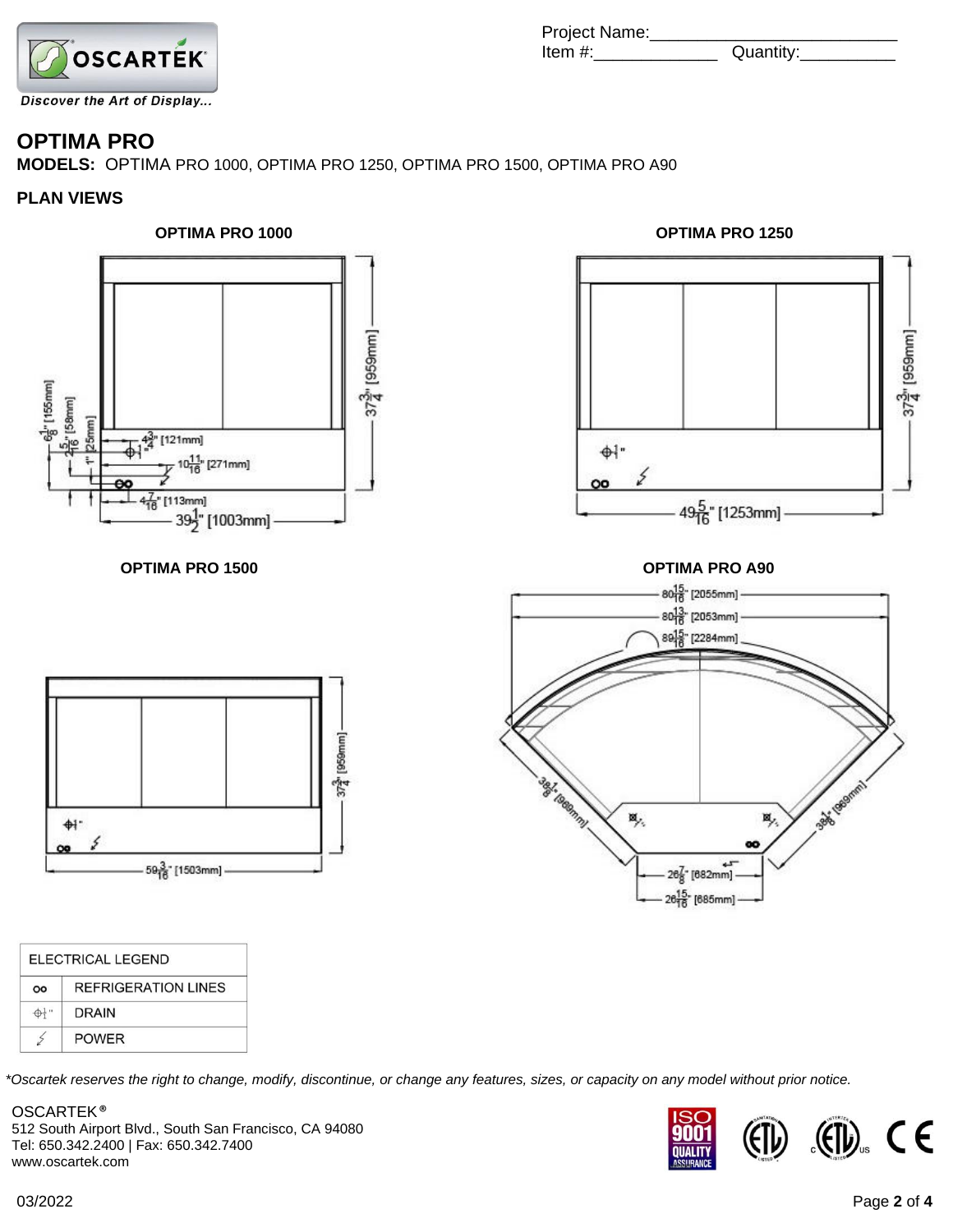

### **OPTIMA PRO**

**MODELS:** OPTIMA PRO 1000, OPTIMA PRO 1250, OPTIMA PRO 1500, OPTIMA PRO A90

#### **PLAN VIEWS**





Project Name:\_\_\_\_\_\_\_\_\_\_\_\_\_\_\_\_\_\_\_\_\_\_\_\_\_\_ Item #:\_\_\_\_\_\_\_\_\_\_\_\_\_ Quantity:\_\_\_\_\_\_\_\_\_\_



**OPTIMA PRO 1500** 

|              |     | $80^{13}_{16}$ [2053mm]<br>89 <sup>15</sup> [2284mm] |          |               |  |
|--------------|-----|------------------------------------------------------|----------|---------------|--|
|              |     |                                                      |          |               |  |
|              |     |                                                      |          |               |  |
| agl. teamml. | 18, |                                                      | к,<br>80 | Base (Seemin) |  |
|              |     | $26\frac{7}{8}$ [682mm]                              |          |               |  |

|    | ELECTRICAL LEGEND          |  |  |  |
|----|----------------------------|--|--|--|
| OO | <b>REFRIGERATION LINES</b> |  |  |  |
|    | <b>DRAIN</b>               |  |  |  |
|    | <b>POWER</b>               |  |  |  |

*\*Oscartek reserves the right to change, modify, discontinue, or change any features, sizes, or capacity on any model without prior notice.*

OSCARTEK ® 512 South Airport Blvd., South San Francisco, CA 94080 Tel: 650.342.2400 | Fax: 650.342.7400 www.oscartek.com

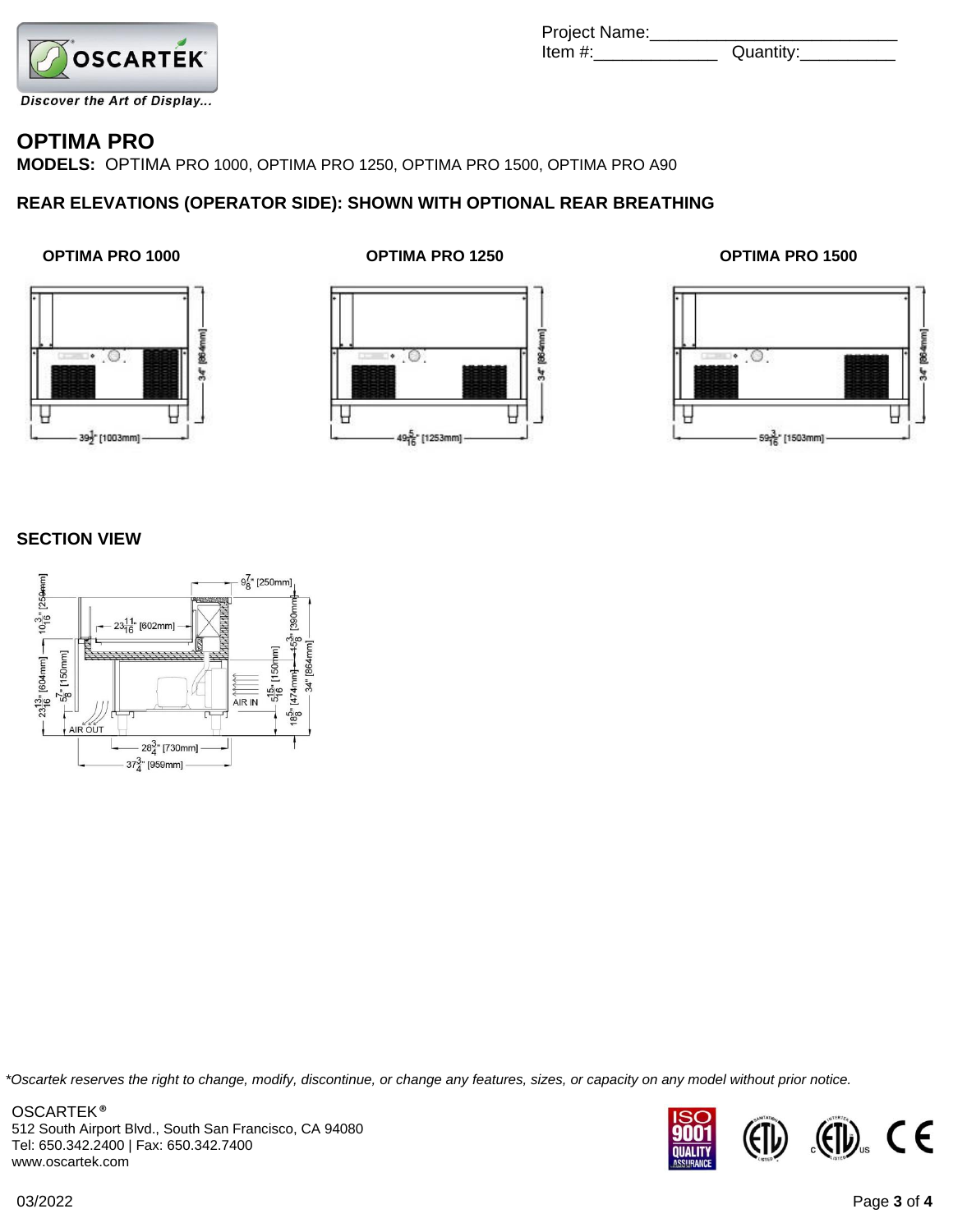

| Project Name: |           |
|---------------|-----------|
| ltem #:       | Quantity: |

### **OPTIMA PRO**

**MODELS:** OPTIMA PRO 1000, OPTIMA PRO 1250, OPTIMA PRO 1500, OPTIMA PRO A90

#### **REAR ELEVATIONS (OPERATOR SIDE): SHOWN WITH OPTIONAL REAR BREATHING**



#### **OPTIMA PRO 1000 OPTIMA PRO 1250 OPTIMA PRO 1500**







#### **SECTION VIEW**



*\*Oscartek reserves the right to change, modify, discontinue, or change any features, sizes, or capacity on any model without prior notice.*

OSCARTEK ® 512 South Airport Blvd., South San Francisco, CA 94080 Tel: 650.342.2400 | Fax: 650.342.7400 www.oscartek.com